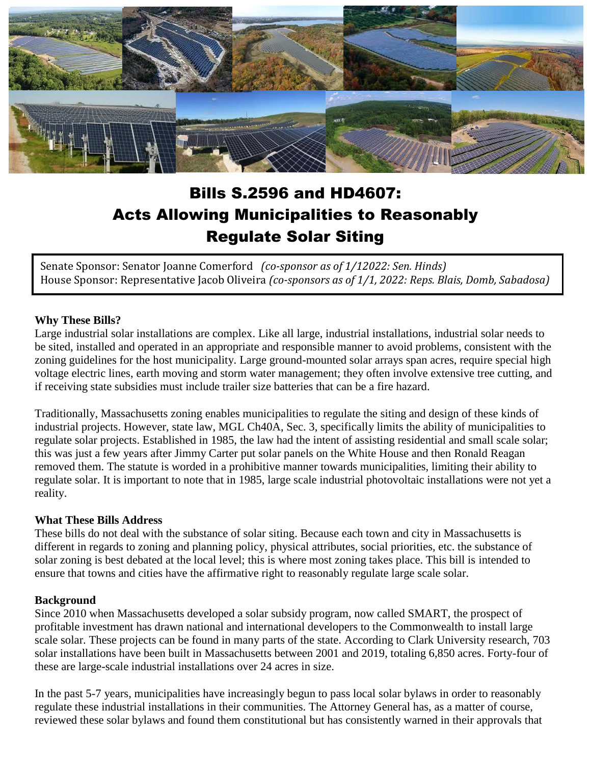

# Bills S.2596 and HD4607: Acts Allowing Municipalities to Reasonably Regulate Solar Siting

Senate Sponsor: Senator Joanne Comerford *(co-sponsor as of 1/12022: Sen. Hinds)* House Sponsor: Representative Jacob Oliveira *(co-sponsors as of 1/1, 2022: Reps. Blais, Domb, Sabadosa)*

#### **Why These Bills?**

Large industrial solar installations are complex. Like all large, industrial installations, industrial solar needs to be sited, installed and operated in an appropriate and responsible manner to avoid problems, consistent with the zoning guidelines for the host municipality. Large ground-mounted solar arrays span acres, require special high voltage electric lines, earth moving and storm water management; they often involve extensive tree cutting, and if receiving state subsidies must include trailer size batteries that can be a fire hazard.

Traditionally, Massachusetts zoning enables municipalities to regulate the siting and design of these kinds of industrial projects. However, state law, MGL Ch40A, Sec. 3, specifically limits the ability of municipalities to regulate solar projects. Established in 1985, the law had the intent of assisting residential and small scale solar; this was just a few years after Jimmy Carter put solar panels on the White House and then Ronald Reagan removed them. The statute is worded in a prohibitive manner towards municipalities, limiting their ability to regulate solar. It is important to note that in 1985, large scale industrial photovoltaic installations were not yet a reality.

#### **What These Bills Address**

These bills do not deal with the substance of solar siting. Because each town and city in Massachusetts is different in regards to zoning and planning policy, physical attributes, social priorities, etc. the substance of solar zoning is best debated at the local level; this is where most zoning takes place. This bill is intended to ensure that towns and cities have the affirmative right to reasonably regulate large scale solar.

#### **Background**

Since 2010 when Massachusetts developed a solar subsidy program, now called SMART, the prospect of profitable investment has drawn national and international developers to the Commonwealth to install large scale solar. These projects can be found in many parts of the state. According to Clark University research, 703 solar installations have been built in Massachusetts between 2001 and 2019, totaling 6,850 acres. Forty-four of these are large-scale industrial installations over 24 acres in size.

In the past 5-7 years, municipalities have increasingly begun to pass local solar bylaws in order to reasonably regulate these industrial installations in their communities. The Attorney General has, as a matter of course, reviewed these solar bylaws and found them constitutional but has consistently warned in their approvals that